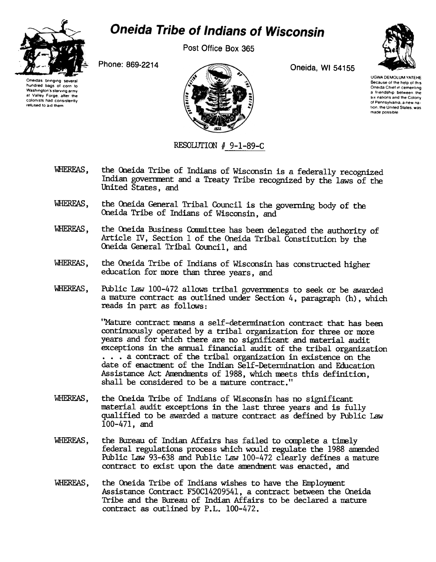

## **Oneida Tribe of Indians of Wisconsin**

Post Office Box 365



Oneidas bringing several hundred bags 01 corn to Washington's starving army at Valley Forge. after the colonists had consistently relused to aid them



UGWA DEMOLUM YATEHE Because of the help of this Oneida Chief in cementing a friendship between the six nations and the Colony of Pennsylvania, a new nation, the United States, was made possible

RESOLUTION # 9-1-89-C

- WHEREAS, the Oneida Tribe of Indians of Wisconsin is a federally recognized Indian govenment and a Treaty Tribe recognized by the laws of the United States, and
- WHEREAS, the Oneida General Tribal Council is the governing body of the Oneida Tribe of Indians of Wisconsin, and
- WHEREAS, the Oneida Business Committee has been delegated the authority of Article IV, Section 1 of the Oneida Tribal Constitution by the Oneida General Tribal Council, and
- WHEREAS, the Oneida Tribe of Indians of Wisconsin has constructed higher education for more than three years, and
- WHEREAS, Public Law 100-472 allows tribal governments to seek or be awarded a mature contract as outlined under Section 4, paragraph (h), which reads in part as follows:

"Mature contract means a self-determination contract that has been continuously operated by a tribal organization for three or more years and for which there are no significant and material audit exceptions in the annual financial audit of the tribal organization ...a contract of the tribal organization in existence on the date of enactment of the Indian Self-Determination and Education Assistance Act Amendments of 1988, which meets this definition, shall be considered to be a mature contract."

- WHEREAS, the Oneida Tribe of Indians of Wisconsin has no significant material audit exceptions in the last three years and is fully qualified to be awarded a mature contract as defined by Public Law 100-471, and
- WHEREAS, the Bureau of Indian Affairs has failed to complete a timely federal regulations process which would regulate the 1988 anended PUblic Law 93-638 and Public Law 100-472 clearly defines a mature contract to exist upon the date anendnent was enacted, and
- WHEREAS, the Oneida Tribe of Indians wishes to have the Employment Assistance Contract F50C1420954l, a contract between the Oneida Tribe and the Bureau of Indian Affairs to be declared a mature contract as outlined by P.L. 100-472.